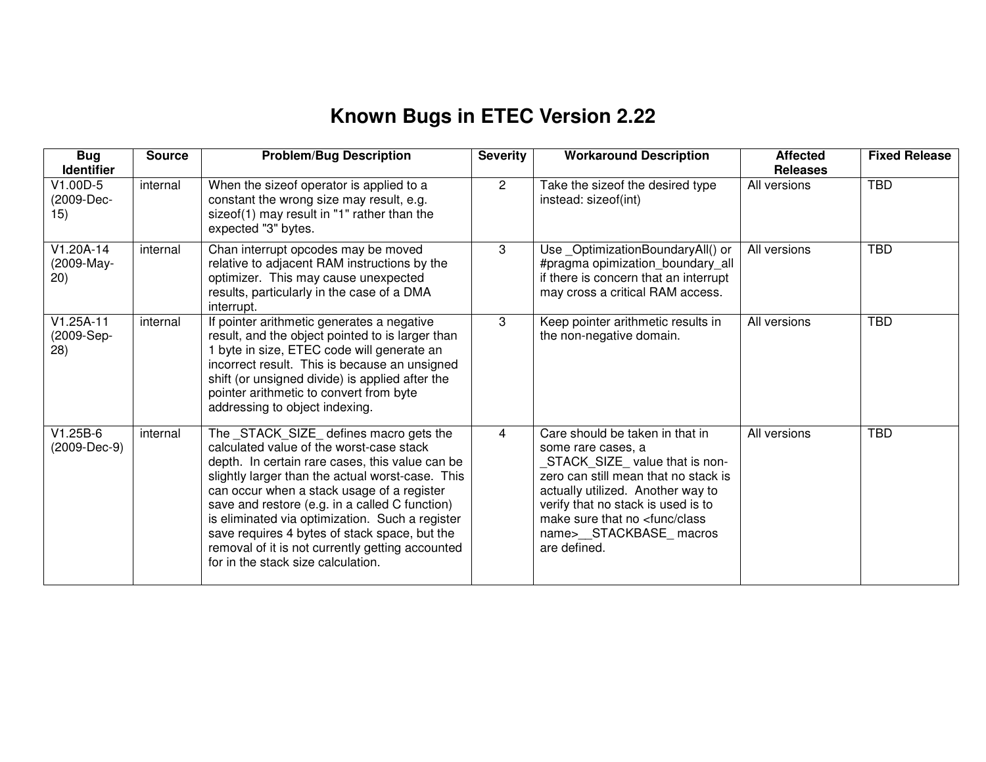## **Known Bugs in ETEC Version 2.22**

| <b>Bug</b><br><b>Identifier</b>   | <b>Source</b> | <b>Problem/Bug Description</b>                                                                                                                                                                                                                                                                                                                                                                                                                                                           | <b>Severity</b>      | <b>Workaround Description</b>                                                                                                                                                                                                                                                                       | <b>Affected</b><br><b>Releases</b> | <b>Fixed Release</b> |
|-----------------------------------|---------------|------------------------------------------------------------------------------------------------------------------------------------------------------------------------------------------------------------------------------------------------------------------------------------------------------------------------------------------------------------------------------------------------------------------------------------------------------------------------------------------|----------------------|-----------------------------------------------------------------------------------------------------------------------------------------------------------------------------------------------------------------------------------------------------------------------------------------------------|------------------------------------|----------------------|
| $V1.00D-5$<br>(2009-Dec-<br>15)   | internal      | When the sizeof operator is applied to a<br>constant the wrong size may result, e.g.<br>sizeof(1) may result in "1" rather than the<br>expected "3" bytes.                                                                                                                                                                                                                                                                                                                               | $\mathbf{2}^{\circ}$ | Take the sizeof the desired type<br>instead: sizeof(int)                                                                                                                                                                                                                                            | All versions                       | <b>TBD</b>           |
| $V1.20A-14$<br>(2009-May-<br>(20) | internal      | Chan interrupt opcodes may be moved<br>relative to adjacent RAM instructions by the<br>optimizer. This may cause unexpected<br>results, particularly in the case of a DMA<br>interrupt.                                                                                                                                                                                                                                                                                                  | 3                    | Use_OptimizationBoundaryAll() or<br>#pragma opimization_boundary_all<br>if there is concern that an interrupt<br>may cross a critical RAM access.                                                                                                                                                   | All versions                       | <b>TBD</b>           |
| $V1.25A-11$<br>(2009-Sep-<br>(28) | internal      | If pointer arithmetic generates a negative<br>result, and the object pointed to is larger than<br>1 byte in size, ETEC code will generate an<br>incorrect result. This is because an unsigned<br>shift (or unsigned divide) is applied after the<br>pointer arithmetic to convert from byte<br>addressing to object indexing.                                                                                                                                                            | 3                    | Keep pointer arithmetic results in<br>the non-negative domain.                                                                                                                                                                                                                                      | All versions                       | <b>TBD</b>           |
| $V1.25B-6$<br>(2009-Dec-9)        | internal      | The _STACK_SIZE_ defines macro gets the<br>calculated value of the worst-case stack<br>depth. In certain rare cases, this value can be<br>slightly larger than the actual worst-case. This<br>can occur when a stack usage of a register<br>save and restore (e.g. in a called C function)<br>is eliminated via optimization. Such a register<br>save requires 4 bytes of stack space, but the<br>removal of it is not currently getting accounted<br>for in the stack size calculation. | 4                    | Care should be taken in that in<br>some rare cases, a<br>STACK_SIZE_value that is non-<br>zero can still mean that no stack is<br>actually utilized. Another way to<br>verify that no stack is used is to<br>make sure that no <func class<br="">name&gt;__STACKBASE_macros<br/>are defined.</func> | All versions                       | <b>TBD</b>           |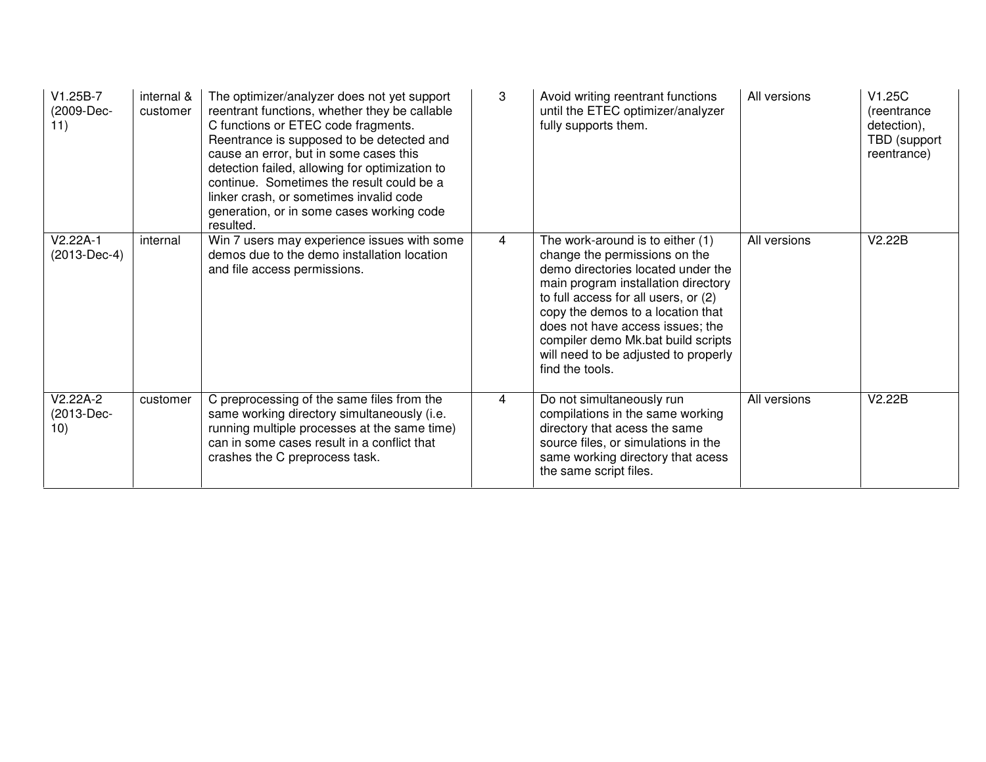| $V1.25B-7$<br>(2009-Dec-<br>11) | internal &<br>customer | The optimizer/analyzer does not yet support<br>reentrant functions, whether they be callable<br>C functions or ETEC code fragments.<br>Reentrance is supposed to be detected and<br>cause an error, but in some cases this<br>detection failed, allowing for optimization to<br>continue. Sometimes the result could be a<br>linker crash, or sometimes invalid code<br>generation, or in some cases working code<br>resulted. | 3              | Avoid writing reentrant functions<br>until the ETEC optimizer/analyzer<br>fully supports them.                                                                                                                                                                                                                                                                   | All versions | V1.25C<br>(reentrance<br>detection),<br>TBD (support<br>reentrance) |
|---------------------------------|------------------------|--------------------------------------------------------------------------------------------------------------------------------------------------------------------------------------------------------------------------------------------------------------------------------------------------------------------------------------------------------------------------------------------------------------------------------|----------------|------------------------------------------------------------------------------------------------------------------------------------------------------------------------------------------------------------------------------------------------------------------------------------------------------------------------------------------------------------------|--------------|---------------------------------------------------------------------|
| V2.22A-1<br>(2013-Dec-4)        | internal               | Win 7 users may experience issues with some<br>demos due to the demo installation location<br>and file access permissions.                                                                                                                                                                                                                                                                                                     | $\overline{4}$ | The work-around is to either (1)<br>change the permissions on the<br>demo directories located under the<br>main program installation directory<br>to full access for all users, or (2)<br>copy the demos to a location that<br>does not have access issues; the<br>compiler demo Mk.bat build scripts<br>will need to be adjusted to properly<br>find the tools. | All versions | V2.22B                                                              |
| V2.22A-2<br>(2013-Dec-<br>10)   | customer               | C preprocessing of the same files from the<br>same working directory simultaneously (i.e.<br>running multiple processes at the same time)<br>can in some cases result in a conflict that<br>crashes the C preprocess task.                                                                                                                                                                                                     | 4              | Do not simultaneously run<br>compilations in the same working<br>directory that acess the same<br>source files, or simulations in the<br>same working directory that acess<br>the same script files.                                                                                                                                                             | All versions | V2.22B                                                              |